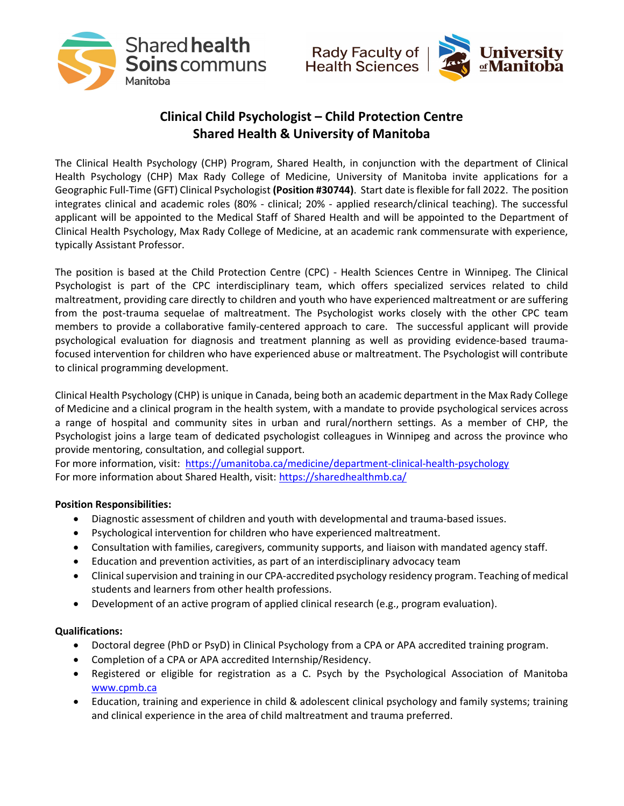



## Clinical Child Psychologist – Child Protection Centre Shared Health & University of Manitoba

The Clinical Health Psychology (CHP) Program, Shared Health, in conjunction with the department of Clinical Health Psychology (CHP) Max Rady College of Medicine, University of Manitoba invite applications for a Geographic Full-Time (GFT) Clinical Psychologist (Position #30744). Start date is flexible for fall 2022. The position integrates clinical and academic roles (80% - clinical; 20% - applied research/clinical teaching). The successful applicant will be appointed to the Medical Staff of Shared Health and will be appointed to the Department of Clinical Health Psychology, Max Rady College of Medicine, at an academic rank commensurate with experience, typically Assistant Professor.

The position is based at the Child Protection Centre (CPC) - Health Sciences Centre in Winnipeg. The Clinical Psychologist is part of the CPC interdisciplinary team, which offers specialized services related to child maltreatment, providing care directly to children and youth who have experienced maltreatment or are suffering from the post-trauma sequelae of maltreatment. The Psychologist works closely with the other CPC team members to provide a collaborative family-centered approach to care. The successful applicant will provide psychological evaluation for diagnosis and treatment planning as well as providing evidence-based traumafocused intervention for children who have experienced abuse or maltreatment. The Psychologist will contribute to clinical programming development.

Clinical Health Psychology (CHP) is unique in Canada, being both an academic department in the Max Rady College of Medicine and a clinical program in the health system, with a mandate to provide psychological services across a range of hospital and community sites in urban and rural/northern settings. As a member of CHP, the Psychologist joins a large team of dedicated psychologist colleagues in Winnipeg and across the province who provide mentoring, consultation, and collegial support.

For more information, visit: https://umanitoba.ca/medicine/department-clinical-health-psychology For more information about Shared Health, visit: https://sharedhealthmb.ca/

## Position Responsibilities:

- Diagnostic assessment of children and youth with developmental and trauma-based issues.
- Psychological intervention for children who have experienced maltreatment.
- Consultation with families, caregivers, community supports, and liaison with mandated agency staff.
- Education and prevention activities, as part of an interdisciplinary advocacy team
- Clinical supervision and training in our CPA-accredited psychology residency program. Teaching of medical students and learners from other health professions.
- Development of an active program of applied clinical research (e.g., program evaluation).

## Qualifications:

- Doctoral degree (PhD or PsyD) in Clinical Psychology from a CPA or APA accredited training program.
- Completion of a CPA or APA accredited Internship/Residency.
- Registered or eligible for registration as a C. Psych by the Psychological Association of Manitoba www.cpmb.ca
- Education, training and experience in child & adolescent clinical psychology and family systems; training and clinical experience in the area of child maltreatment and trauma preferred.